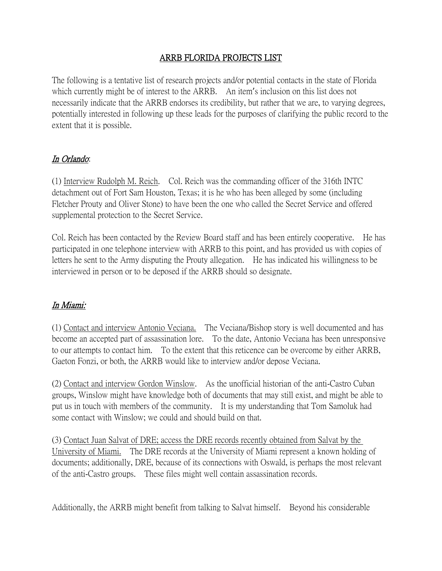## ARRB FLORIDA PROJECTS LIST

The following is a tentative list of research projects and/or potential contacts in the state of Florida which currently might be of interest to the ARRB. An item's inclusion on this list does not necessarily indicate that the ARRB endorses its credibility, but rather that we are, to varying degrees, potentially interested in following up these leads for the purposes of clarifying the public record to the extent that it is possible.

## In Orlando:

(1) Interview Rudolph M. Reich. Col. Reich was the commanding officer of the 316th INTC detachment out of Fort Sam Houston, Texas; it is he who has been alleged by some (including Fletcher Prouty and Oliver Stone) to have been the one who called the Secret Service and offered supplemental protection to the Secret Service.

Col. Reich has been contacted by the Review Board staff and has been entirely cooperative. He has participated in one telephone interview with ARRB to this point, and has provided us with copies of letters he sent to the Army disputing the Prouty allegation. He has indicated his willingness to be interviewed in person or to be deposed if the ARRB should so designate.

## In Miami:

(1) Contact and interview Antonio Veciana. The Veciana/Bishop story is well documented and has become an accepted part of assassination lore. To the date, Antonio Veciana has been unresponsive to our attempts to contact him. To the extent that this reticence can be overcome by either ARRB, Gaeton Fonzi, or both, the ARRB would like to interview and/or depose Veciana.

(2) Contact and interview Gordon Winslow. As the unofficial historian of the anti-Castro Cuban groups, Winslow might have knowledge both of documents that may still exist, and might be able to put us in touch with members of the community. It is my understanding that Tom Samoluk had some contact with Winslow; we could and should build on that.

(3) Contact Juan Salvat of DRE; access the DRE records recently obtained from Salvat by the University of Miami. The DRE records at the University of Miami represent a known holding of documents; additionally, DRE, because of its connections with Oswald, is perhaps the most relevant of the anti-Castro groups. These files might well contain assassination records.

Additionally, the ARRB might benefit from talking to Salvat himself. Beyond his considerable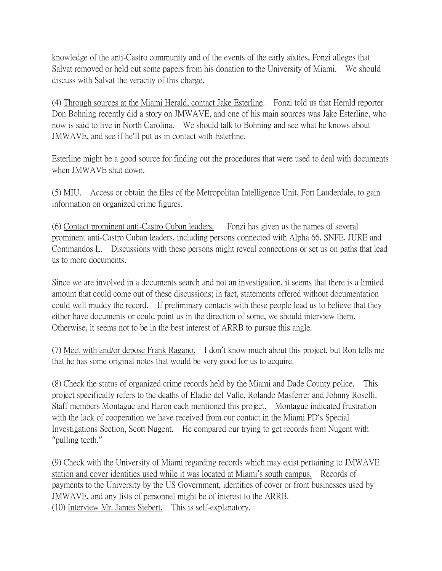knowledge of the anti-Castro community and of the events of the early sixties, Fonzi alleges that Salvat removed or held out some papers from his donation to the University of Miami. We should discuss with Salvat the veracity of this charge.

(4) Through sources at the Miami Herald, contact Jake Esterline. Fonzi told us that Herald reporter Don Bohning recently did a story on JMWAVE, and one of his main sources was Jake Esterline, who now is said to live in North Carolina. We should talk to Bohning and see what he knows about JMWAVE, and see if he'll put us in contact with Esterline.

Esterline might be a good source for finding out the procedures that were used to deal with documents when JMWAVE shut down.

(5) MIU. Access or obtain the files of the Metropolitan Intelligence Unit, Fort Lauderdale, to gain information on organized crime figures.

(6) Contact prominent anti-Castro Cuban leaders. Fonzi has given us the names of several prominent anti-Castro Cuban leaders, including persons connected with Alpha 66, SNFE, JURE and Commandos L. Discussions with these persons might reveal connections or set us on paths that lead us to more documents.

Since we are involved in a documents search and not an investigation, it seems that there is a limited amount that could come out of these discussions; in fact, statements offered without documentation could well muddy the record. If preliminary contacts with these people lead us to believe that they either have documents or could point us in the direction of some, we should interview them. Otherwise, it seems not to be in the best interest of ARRB to pursue this angle.

(7) Meet with and/or depose Frank Ragano. I don't know much about this project, but Ron tells me that he has some original notes that would be very good for us to acquire.

(8) Check the status of organized crime records held by the Miami and Dade County police. This project specifically refers to the deaths of Eladio del Valle, Rolando Masferrer and Johnny Roselli. Staff members Montague and Haron each mentioned this project. Montague indicated frustration with the lack of cooperation we have received from our contact in the Miami PD's Special Investigations Section, Scott Nugent. He compared our trying to get records from Nugent with "pulling teeth."

(9) Check with the University of Miami regarding records which may exist pertaining to JMWAVE station and cover identities used while it was located at Miami's south campus. Records of payments to the University by the US Government, identities of cover or front businesses used by JMWAVE, and any lists of personnel might be of interest to the ARRB. (10) Interview Mr. James Siebert. This is self-explanatory.